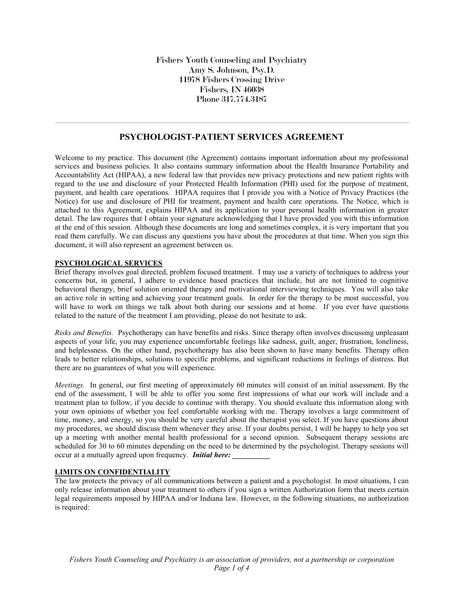Fishers Youth Counseling and Psychiatry Amy S. Johnson, Psy.D. 11978 Fishers Crossing Drive Fishers, IN 46038 Phone 317.774.3187

## **PSYCHOLOGIST-PATIENT SERVICES AGREEMENT**

Welcome to my practice. This document (the Agreement) contains important information about my professional services and business policies. It also contains summary information about the Health Insurance Portability and Accountability Act (HIPAA), a new federal law that provides new privacy protections and new patient rights with regard to the use and disclosure of your Protected Health Information (PHI) used for the purpose of treatment, payment, and health care operations. HIPAA requires that I provide you with a Notice of Privacy Practices (the Notice) for use and disclosure of PHI for treatment, payment and health care operations. The Notice, which is attached to this Agreement, explains HIPAA and its application to your personal health information in greater detail. The law requires that I obtain your signature acknowledging that I have provided you with this information at the end of this session. Although these documents are long and sometimes complex, it is very important that you read them carefully. We can discuss any questions you have about the procedures at that time. When you sign this document, it will also represent an agreement between us.

### **PSYCHOLOGICAL SERVICES**

Brief therapy involves goal directed, problem focused treatment. I may use a variety of techniques to address your concerns but, in general, I adhere to evidence based practices that include, but are not limited to cognitive behavioral therapy, brief solution oriented therapy and motivational interviewing techniques. You will also take an active role in setting and achieving your treatment goals. In order for the therapy to be most successful, you will have to work on things we talk about both during our sessions and at home. If you ever have questions related to the nature of the treatment I am providing, please do not hesitate to ask.

*Risks and Benefits.* Psychotherapy can have benefits and risks. Since therapy often involves discussing unpleasant aspects of your life, you may experience uncomfortable feelings like sadness, guilt, anger, frustration, loneliness, and helplessness. On the other hand, psychotherapy has also been shown to have many benefits. Therapy often leads to better relationships, solutions to specific problems, and significant reductions in feelings of distress. But there are no guarantees of what you will experience.

*Meetings.* In general, our first meeting of approximately 60 minutes will consist of an initial assessment. By the end of the assessment, I will be able to offer you some first impressions of what our work will include and a treatment plan to follow, if you decide to continue with therapy. You should evaluate this information along with your own opinions of whether you feel comfortable working with me. Therapy involves a large commitment of time, money, and energy, so you should be very careful about the therapist you select. If you have questions about my procedures, we should discuss them whenever they arise. If your doubts persist, I will be happy to help you set up a meeting with another mental health professional for a second opinion. Subsequent therapy sessions are scheduled for 30 to 60 minutes depending on the need to be determined by the psychologist. Therapy sessions will occur at a mutually agreed upon frequency. *Initial here:* 

#### **LIMITS ON CONFIDENTIALITY**

The law protects the privacy of all communications between a patient and a psychologist. In most situations, I can only release information about your treatment to others if you sign a written Authorization form that meets certain legal requirements imposed by HIPAA and/or Indiana law. However, in the following situations, no authorization is required: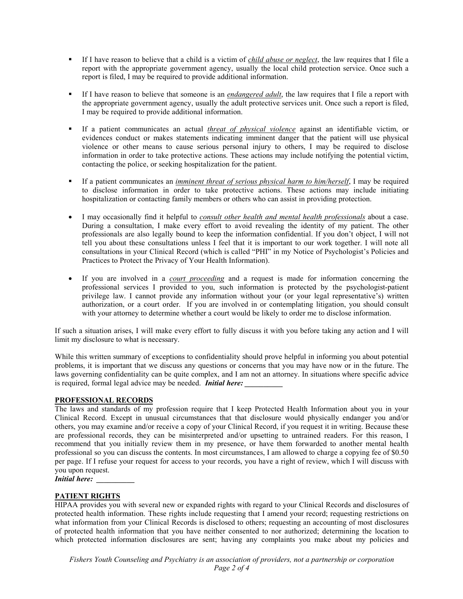- § If I have reason to believe that a child is a victim of *child abuse or neglect*, the law requires that I file a report with the appropriate government agency, usually the local child protection service. Once such a report is filed, I may be required to provide additional information.
- If I have reason to believe that someone is an *endangered adult*, the law requires that I file a report with the appropriate government agency, usually the adult protective services unit. Once such a report is filed, I may be required to provide additional information.
- § If a patient communicates an actual *threat of physical violence* against an identifiable victim, or evidences conduct or makes statements indicating imminent danger that the patient will use physical violence or other means to cause serious personal injury to others, I may be required to disclose information in order to take protective actions. These actions may include notifying the potential victim, contacting the police, or seeking hospitalization for the patient.
- § If a patient communicates an *imminent threat of serious physical harm to him/herself*, I may be required to disclose information in order to take protective actions. These actions may include initiating hospitalization or contacting family members or others who can assist in providing protection.
- I may occasionally find it helpful to *consult other health and mental health professionals* about a case. During a consultation, I make every effort to avoid revealing the identity of my patient. The other professionals are also legally bound to keep the information confidential. If you don't object, I will not tell you about these consultations unless I feel that it is important to our work together. I will note all consultations in your Clinical Record (which is called "PHI" in my Notice of Psychologist's Policies and Practices to Protect the Privacy of Your Health Information).
- If you are involved in a *court proceeding* and a request is made for information concerning the professional services I provided to you, such information is protected by the psychologist-patient privilege law. I cannot provide any information without your (or your legal representative's) written authorization, or a court order. If you are involved in or contemplating litigation, you should consult with your attorney to determine whether a court would be likely to order me to disclose information.

If such a situation arises, I will make every effort to fully discuss it with you before taking any action and I will limit my disclosure to what is necessary.

While this written summary of exceptions to confidentiality should prove helpful in informing you about potential problems, it is important that we discuss any questions or concerns that you may have now or in the future. The laws governing confidentiality can be quite complex, and I am not an attorney. In situations where specific advice is required, formal legal advice may be needed. *Initial here:* 

#### **PROFESSIONAL RECORDS**

The laws and standards of my profession require that I keep Protected Health Information about you in your Clinical Record. Except in unusual circumstances that that disclosure would physically endanger you and/or others, you may examine and/or receive a copy of your Clinical Record, if you request it in writing. Because these are professional records, they can be misinterpreted and/or upsetting to untrained readers. For this reason, I recommend that you initially review them in my presence, or have them forwarded to another mental health professional so you can discuss the contents. In most circumstances, I am allowed to charge a copying fee of \$0.50 per page. If I refuse your request for access to your records, you have a right of review, which I will discuss with you upon request.

*<i>Initial here:* 

### **PATIENT RIGHTS**

HIPAA provides you with several new or expanded rights with regard to your Clinical Records and disclosures of protected health information. These rights include requesting that I amend your record; requesting restrictions on what information from your Clinical Records is disclosed to others; requesting an accounting of most disclosures of protected health information that you have neither consented to nor authorized; determining the location to which protected information disclosures are sent; having any complaints you make about my policies and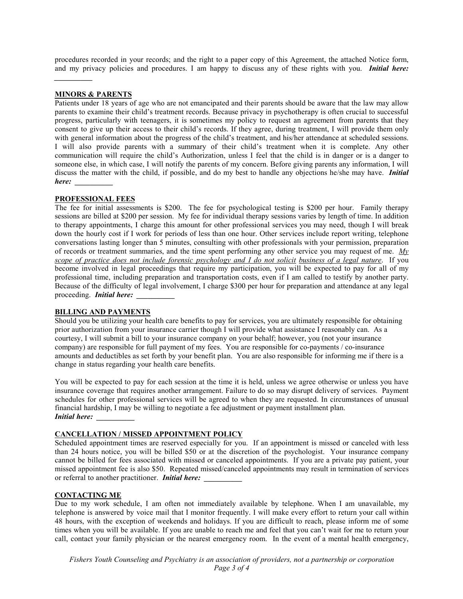procedures recorded in your records; and the right to a paper copy of this Agreement, the attached Notice form, and my privacy policies and procedures. I am happy to discuss any of these rights with you. *Initial here:* 

#### **MINORS & PARENTS**

*\_\_\_\_\_\_\_\_\_\_*

Patients under 18 years of age who are not emancipated and their parents should be aware that the law may allow parents to examine their child's treatment records. Because privacy in psychotherapy is often crucial to successful progress, particularly with teenagers, it is sometimes my policy to request an agreement from parents that they consent to give up their access to their child's records. If they agree, during treatment, I will provide them only with general information about the progress of the child's treatment, and his/her attendance at scheduled sessions. I will also provide parents with a summary of their child's treatment when it is complete. Any other communication will require the child's Authorization, unless I feel that the child is in danger or is a danger to someone else, in which case, I will notify the parents of my concern. Before giving parents any information, I will discuss the matter with the child, if possible, and do my best to handle any objections he/she may have. *Initial here: \_\_\_\_\_\_\_\_\_\_*

#### **PROFESSIONAL FEES**

The fee for initial assessments is \$200. The fee for psychological testing is \$200 per hour. Family therapy sessions are billed at \$200 per session. My fee for individual therapy sessions varies by length of time. In addition to therapy appointments, I charge this amount for other professional services you may need, though I will break down the hourly cost if I work for periods of less than one hour. Other services include report writing, telephone conversations lasting longer than 5 minutes, consulting with other professionals with your permission, preparation of records or treatment summaries, and the time spent performing any other service you may request of me. *My scope of practice does not include forensic psychology and I do not solicit business of a legal nature*. If you become involved in legal proceedings that require my participation, you will be expected to pay for all of my professional time, including preparation and transportation costs, even if I am called to testify by another party. Because of the difficulty of legal involvement, I charge \$300 per hour for preparation and attendance at any legal proceeding. *Initial here: \_\_\_\_\_\_\_\_\_\_*

#### **BILLING AND PAYMENTS**

Should you be utilizing your health care benefits to pay for services, you are ultimately responsible for obtaining prior authorization from your insurance carrier though I will provide what assistance I reasonably can. As a courtesy, I will submit a bill to your insurance company on your behalf; however, you (not your insurance company) are responsible for full payment of my fees. You are responsible for co-payments / co-insurance amounts and deductibles as set forth by your benefit plan. You are also responsible for informing me if there is a change in status regarding your health care benefits.

You will be expected to pay for each session at the time it is held, unless we agree otherwise or unless you have insurance coverage that requires another arrangement. Failure to do so may disrupt delivery of services. Payment schedules for other professional services will be agreed to when they are requested. In circumstances of unusual financial hardship, I may be willing to negotiate a fee adjustment or payment installment plan. *Initial here: \_\_\_\_\_\_\_\_\_\_*

### **CANCELLATION / MISSED APPOINTMENT POLICY**

Scheduled appointment times are reserved especially for you. If an appointment is missed or canceled with less than 24 hours notice, you will be billed \$50 or at the discretion of the psychologist. Your insurance company cannot be billed for fees associated with missed or canceled appointments. If you are a private pay patient, your missed appointment fee is also \$50. Repeated missed/canceled appointments may result in termination of services or referral to another practitioner. *Initial here:* 

#### **CONTACTING ME**

Due to my work schedule, I am often not immediately available by telephone. When I am unavailable, my telephone is answered by voice mail that I monitor frequently. I will make every effort to return your call within 48 hours, with the exception of weekends and holidays. If you are difficult to reach, please inform me of some times when you will be available. If you are unable to reach me and feel that you can't wait for me to return your call, contact your family physician or the nearest emergency room. In the event of a mental health emergency,